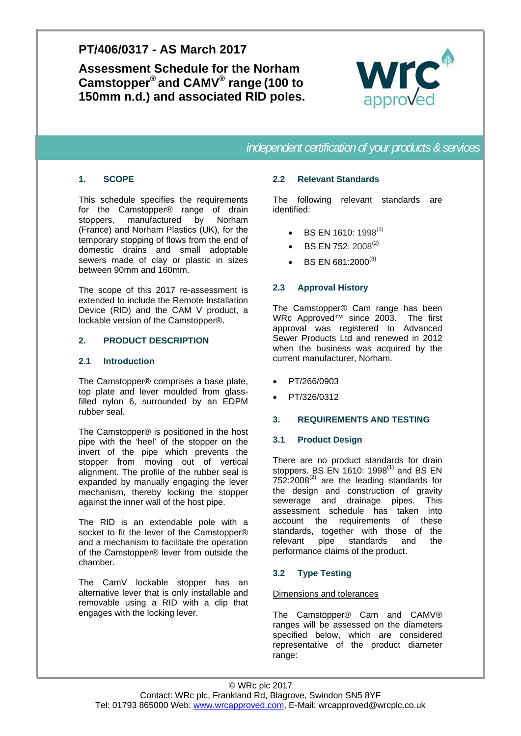# **PT/406/0317 - AS March 2017**

**Assessment Schedule for the Norham Camstopper® and CAMV® range (100 to 150mm n.d.) and associated RID poles.** 



*independent certification of your products & services* 

## **1. SCOPE**

This schedule specifies the requirements for the Camstopper® range of drain stoppers, manufactured by Norham (France) and Norham Plastics (UK), for the temporary stopping of flows from the end of domestic drains and small adoptable sewers made of clay or plastic in sizes between 90mm and 160mm.

The scope of this 2017 re-assessment is extended to include the Remote Installation Device (RID) and the CAM V product, a lockable version of the Camstopper®.

### **2. PRODUCT DESCRIPTION**

## **2.1 Introduction**

The Camstopper® comprises a base plate, top plate and lever moulded from glassfilled nylon 6, surrounded by an EDPM rubber seal.

The Camstopper® is positioned in the host pipe with the 'heel' of the stopper on the invert of the pipe which prevents the stopper from moving out of vertical alignment. The profile of the rubber seal is expanded by manually engaging the lever mechanism, thereby locking the stopper against the inner wall of the host pipe.

The RID is an extendable pole with a socket to fit the lever of the Camstopper® and a mechanism to facilitate the operation of the Camstopper® lever from outside the chamber.

The CamV lockable stopper has an alternative lever that is only installable and removable using a RID with a clip that engages with the locking lever.

### **2.2 Relevant Standards**

The following relevant standards are identified:

- BS EN 1610: 1998<sup>(1)</sup>
- BS EN 752: 2008<sup>(2)</sup>
- $\bullet$  BS EN 681:2000<sup>(3)</sup>

## **2.3 Approval History**

The Camstopper® Cam range has been WRc Approved™ since 2003. The first approval was registered to Advanced Sewer Products Ltd and renewed in 2012 when the business was acquired by the current manufacturer, Norham.

- PT/266/0903
- PT/326/0312

#### **3. REQUIREMENTS AND TESTING**

#### **3.1 Product Design**

There are no product standards for drain stoppers. BS EN 1610:  $1998<sup>(1)</sup>$  and BS EN  $752:2008^{(2)}$  are the leading standards for the design and construction of gravity sewerage and drainage pipes. This assessment schedule has taken into account the requirements of these standards, together with those of the relevant pipe standards and the performance claims of the product.

## **3.2 Type Testing**

#### Dimensions and tolerances

The Camstopper® Cam and CAMV® ranges will be assessed on the diameters specified below, which are considered representative of the product diameter range: